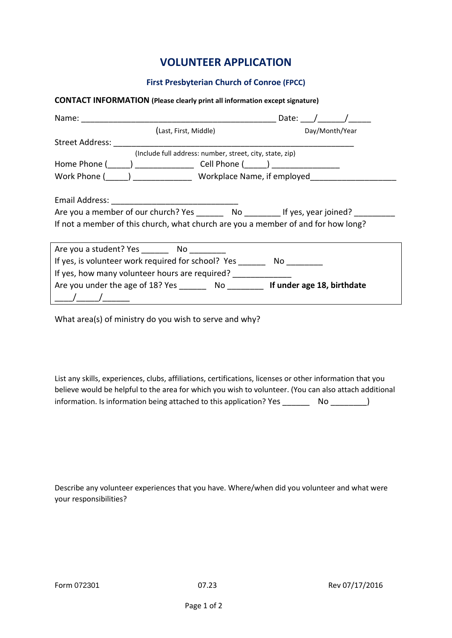## **VOLUNTEER APPLICATION**

## **First Presbyterian Church of Conroe (FPCC)**

## **CONTACT INFORMATION (Please clearly print all information except signature)**

| Name:                                                                                                   | Date:          |
|---------------------------------------------------------------------------------------------------------|----------------|
| (Last, First, Middle)                                                                                   | Day/Month/Year |
| Street Address:                                                                                         |                |
| (Include full address: number, street, city, state, zip)                                                |                |
| Home Phone (Comparison Level Phone (Comparison Level Phone (Comparison Level Phone (Comparison Level 2) |                |
| Work Phone (_____) _________________ Workplace Name, if employed _______________                        |                |
|                                                                                                         |                |
|                                                                                                         |                |
|                                                                                                         |                |
| If not a member of this church, what church are you a member of and for how long?                       |                |
|                                                                                                         |                |
| Are you a student? Yes No                                                                               |                |
| If yes, is volunteer work required for school? Yes _______                                              |                |
| If yes, how many volunteer hours are required?                                                          |                |
| Are you under the age of 18? Yes No <b>No let under age 18, birthdate</b>                               |                |
|                                                                                                         |                |

What area(s) of ministry do you wish to serve and why?

List any skills, experiences, clubs, affiliations, certifications, licenses or other information that you believe would be helpful to the area for which you wish to volunteer. (You can also attach additional information. Is information being attached to this application? Yes No  $\qquad \qquad$  No  $\qquad \qquad$ )

Describe any volunteer experiences that you have. Where/when did you volunteer and what were your responsibilities?